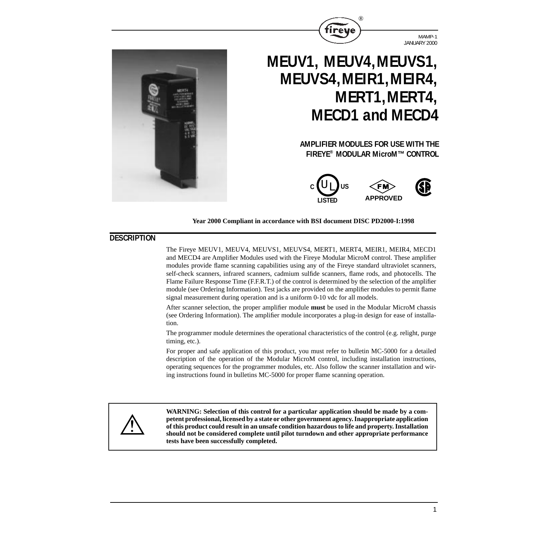

MAMP-1 JANUARY 2000



# **MEUV1, MEUV4,MEUVS1, MEUVS4,MEIR1,MEIR4, MERT1,MERT4, MECD1 and MECD4**

# **AMPLIFIER MODULES FOR USE WITH THE FIREYE® MODULAR MicroM™ CONTROL**



#### **Year 2000 Compliant in accordance with BSI document DISC PD2000-I:1998**

# **DESCRIPTION**

The Fireye MEUV1, MEUV4, MEUVS1, MEUVS4, MERT1, MERT4, MEIR1, MEIR4, MECD1 and MECD4 are Amplifier Modules used with the Fireye Modular MicroM control. These amplifier modules provide flame scanning capabilities using any of the Fireye standard ultraviolet scanners, self-check scanners, infrared scanners, cadmium sulfide scanners, flame rods, and photocells. The Flame Failure Response Time (F.F.R.T.) of the control is determined by the selection of the amplifier module (see Ordering Information). Test jacks are provided on the amplifier modules to permit flame signal measurement during operation and is a uniform 0-10 vdc for all models.

After scanner selection, the proper amplifier module **must** be used in the Modular MicroM chassis (see Ordering Information). The amplifier module incorporates a plug-in design for ease of installation.

The programmer module determines the operational characteristics of the control (e.g. relight, purge timing, etc.).

For proper and safe application of this product, you must refer to bulletin MC-5000 for a detailed description of the operation of the Modular MicroM control, including installation instructions, operating sequences for the programmer modules, etc. Also follow the scanner installation and wiring instructions found in bulletins MC-5000 for proper flame scanning operation.



**WARNING: Selection of this control for a particular application should be made by a competent professional, licensed by a state or other government agency. Inappropriate application of this product could result in an unsafe condition hazardous to life and property. Installation should not be considered complete until pilot turndown and other appropriate performance tests have been successfully completed.**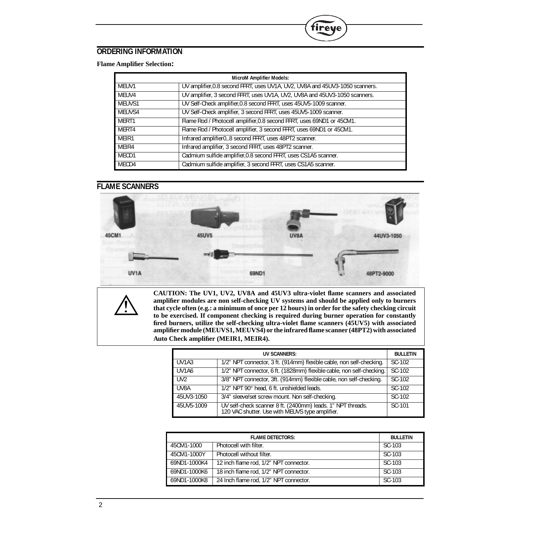# **ORDERING INFORMATION**

#### **Flame Amplifier Selection:**

| <b>MicroM Amplifier Models:</b> |                                                                              |  |
|---------------------------------|------------------------------------------------------------------------------|--|
| MEUV1                           | UV amplifier, 0.8 second FFRT, uses UV1A, UV2, UV8A and 45UV3-1050 scanners. |  |
| MEUV4                           | UV amplifier, 3 second FFRT, uses UV1A, UV2, UV8A and 45UV3-1050 scanners.   |  |
| MEUVS1                          | UV Self-Check amplifier, 0.8 second FFRT, uses 45UV5-1009 scanner.           |  |
| MEUVS4                          | UV Self-Check amplifier, 3 second FFRT, uses 45UV5-1009 scanner.             |  |
| MERT1                           | Flame Rod / Photocell amplifier, 0.8 second FFRT, uses 69ND1 or 45CM1.       |  |
| MERT4                           | Flame Rod / Photocell amplifier, 3 second FFRT, uses 69ND1 or 45CM1.         |  |
| MEIR1                           | Infrared amplifier0, 8 second FFRT, uses 48PT2 scanner.                      |  |
| MEIR4                           | Infrared amplifier, 3 second FFRT, uses 48PT2 scanner.                       |  |
| MECD1                           | Cadmium sulfide amplifier, 0.8 second FFRT, uses CS1A5 scanner.              |  |
| MECD4                           | Cadmium sulfide amplifier, 3 second FFRT, uses CS1A5 scanner.                |  |

 $^{\circledR}$ 

fireye

# **FLAME SCANNERS**





**CAUTION: The UV1, UV2, UV8A and 45UV3 ultra-violet flame scanners and associated amplifier modules are non self-checking UV systems and should be applied only to burners that cycle often (e.g.: a minimum of once per 12 hours) in order for the safety checking circuit to be exercised. If component checking is required during burner operation for constantly fired burners, utilize the self-checking ultra-violet flame scanners (45UV5) with associated amplifier module (MEUVS1, MEUVS4) or the infrared flame scanner (48PT2) with associated Auto Check amplifier (MEIR1, MEIR4).**

| UV SCANNERS:                   |                                                                                                                | <b>BULLETIN</b> |
|--------------------------------|----------------------------------------------------------------------------------------------------------------|-----------------|
| UV <sub>1</sub> A <sub>3</sub> | 1/2" NPT connector, 3 ft. (914mm) flexible cable, non self-checking.                                           | SC-102          |
| UV1A6                          | 1/2" NPT connector, 6 ft. (1828mm) flexible cable, non self-checking.                                          | SC-102          |
| UV <sub>2</sub>                | 3/8" NPT connector, 3ft. (914mm) flexible cable, non self-checking.                                            | SC-102          |
| UV8A                           | 1/2" NPT 90° head, 6 ft. unshielded leads.                                                                     | SC-102          |
| 45UV3-1050                     | 3/4" sleeve/set screw mount. Non self-checking.                                                                | SC-102          |
| 45UV5-1009                     | UV self-check scanner 8 ft. (2400mm) leads. 1" NPT threads.<br>120 VAC shutter. Use with MEUVS type amplifier. | SC-101          |

| <b>FLAME DETECTORS:</b> |                                        | <b>BULLETIN</b> |
|-------------------------|----------------------------------------|-----------------|
| 45CM1-1000              | Photocell with filter.                 | SC-103          |
| 45CM1-1000Y             | Photocell without filter.              | SC-103          |
| 69ND1-1000K4            | 12 inch flame rod, 1/2" NPT connector. | SC-103          |
| 69ND1-1000K6            | 18 inch flame rod, 1/2" NPT connector. | SC-103          |
| 69ND1-1000K8            | 24 Inch flame rod, 1/2" NPT connector. | SC-103          |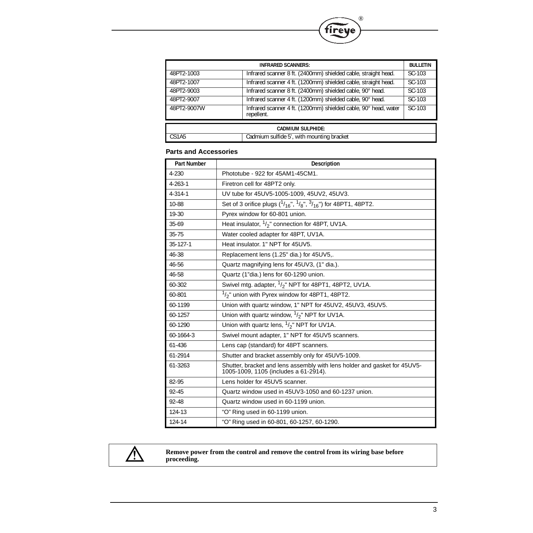

| <b>INFRARED SCANNERS:</b> |                                                                               | <b>BULLETIN</b> |  |
|---------------------------|-------------------------------------------------------------------------------|-----------------|--|
| 48PT2-1003                | Infrared scanner 8 ft. (2400mm) shielded cable, straight head.                | SC-103          |  |
| 48PT2-1007                | Infrared scanner 4 ft. (1200mm) shielded cable, straight head.                | SC-103          |  |
| 48PT2-9003                | Infrared scanner 8 ft. (2400mm) shielded cable, 90° head.                     | SC-103          |  |
| 48PT2-9007                | Infrared scanner 4 ft. (1200mm) shielded cable, 90° head.                     | SC-103          |  |
| 48PT2-9007W               | Infrared scanner 4 ft. (1200mm) shielded cable, 90° head, water<br>repellent. | SC-103          |  |
| <b>CADMIUM SULPHIDE:</b>  |                                                                               |                 |  |
|                           |                                                                               |                 |  |
| CS1A5                     | Cadmium sulfide 5', with mounting bracket                                     |                 |  |

### **Parts and Accessories**

| <b>Part Number</b> | <b>Description</b>                                                                                                 |
|--------------------|--------------------------------------------------------------------------------------------------------------------|
| 4-230              | Phototube - 922 for 45AM1-45CM1.                                                                                   |
| $4 - 263 - 1$      | Firetron cell for 48PT2 only.                                                                                      |
| $4 - 314 - 1$      | UV tube for 45UV5-1005-1009, 45UV2, 45UV3.                                                                         |
| 10-88              | Set of 3 orifice plugs $({}^{1}/_{16}$ ", $({}^{1}/_{8}$ ", ${}^{3}/_{16}$ ") for 48PT1, 48PT2.                    |
| 19-30              | Pyrex window for 60-801 union.                                                                                     |
| 35-69              | Heat insulator, $1/2$ " connection for 48PT, UV1A.                                                                 |
| $35 - 75$          | Water cooled adapter for 48PT, UV1A.                                                                               |
| $35 - 127 - 1$     | Heat insulator, 1" NPT for 45UV5.                                                                                  |
| 46-38              | Replacement lens (1.25" dia.) for 45UV5,.                                                                          |
| 46-56              | Quartz magnifying lens for 45UV3, (1" dia.).                                                                       |
| 46-58              | Quartz (1"dia.) lens for 60-1290 union.                                                                            |
| 60-302             | Swivel mtg. adapter, $1/2$ " NPT for 48PT1, 48PT2, UV1A.                                                           |
| 60-801             | $1/2$ " union with Pyrex window for 48PT1, 48PT2.                                                                  |
| 60-1199            | Union with quartz window, 1" NPT for 45UV2, 45UV3, 45UV5.                                                          |
| 60-1257            | Union with quartz window, $1/2$ " NPT for UV1A.                                                                    |
| 60-1290            | Union with quartz lens, $\frac{1}{2}$ " NPT for UV1A.                                                              |
| 60-1664-3          | Swivel mount adapter, 1" NPT for 45UV5 scanners.                                                                   |
| 61-436             | Lens cap (standard) for 48PT scanners.                                                                             |
| 61-2914            | Shutter and bracket assembly only for 45UV5-1009.                                                                  |
| 61-3263            | Shutter, bracket and lens assembly with lens holder and gasket for 45UV5-<br>1005-1009, 1105 (includes a 61-2914). |
| 82-95              | Lens holder for 45UV5 scanner.                                                                                     |
| $92 - 45$          | Quartz window used in 45UV3-1050 and 60-1237 union.                                                                |
| 92-48              | Quartz window used in 60-1199 union.                                                                               |
| 124-13             | "O" Ring used in 60-1199 union.                                                                                    |
| 124-14             | "O" Ring used in 60-801, 60-1257, 60-1290.                                                                         |



#### **Remove power from the control and remove the control from its wiring base before proceeding.**